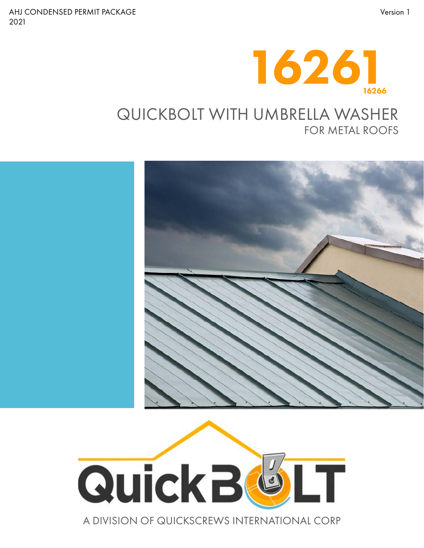

### QUICKBOLT WITH UMBRELLA WASHER FOR METAL ROOFS





A DIVISION OF QUICKSCREWS INTERNATIONAL CORP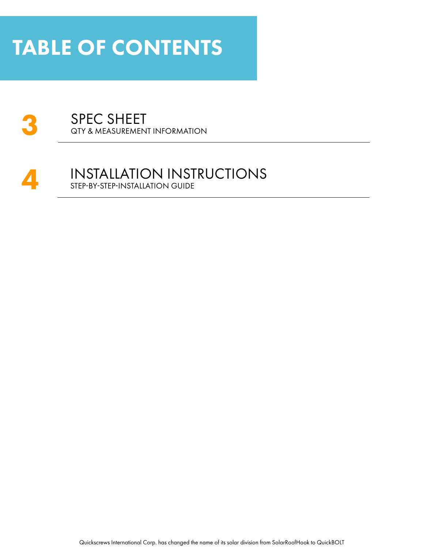### TABLE OF CONTENTS



#### A INSTALLATION INSTRUCTIONS<br>STEP-BY-STEP-INSTALLATION GUIDE STEP-BY-STEP-INSTALLATION GUIDE

Quickscrews International Corp. has changed the name of its solar division from SolarRoofHook to QuickBOLT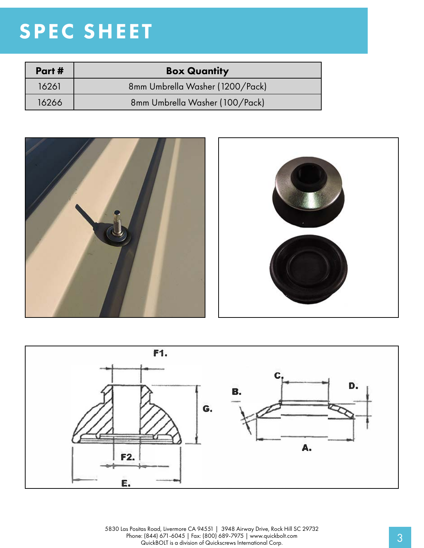# SPEC SHEET

| Part# | <b>Box Quantity</b>             |
|-------|---------------------------------|
| 16261 | 8mm Umbrella Washer (1200/Pack) |
| 16266 | 8mm Umbrella Washer (100/Pack)  |





5830 Las Positas Road, Livermore CA 94551 | 3948 Airway Drive, Rock Hill SC 29732 Phone: (844) 671-6045 | Fax: (800) 689-7975 | www.quickbolt.com<br>QuickBOLT is a division of Quickscrews International Corp.